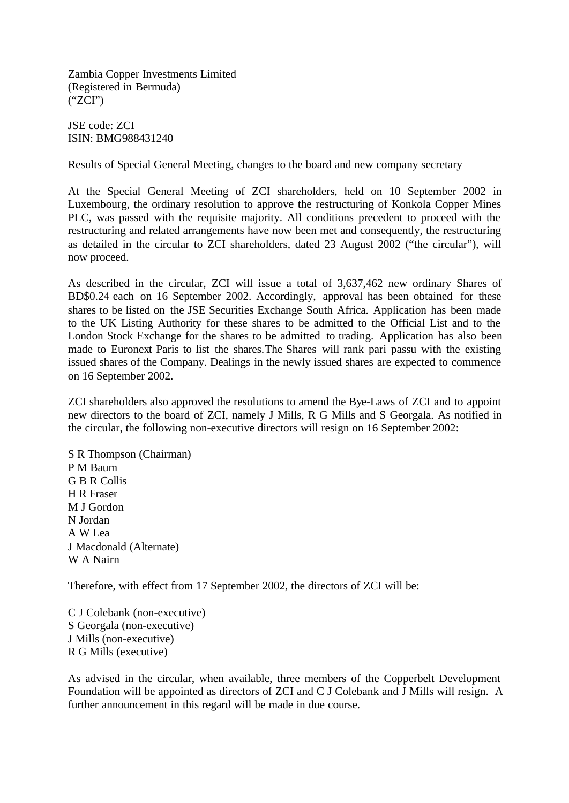Zambia Copper Investments Limited (Registered in Bermuda) ("ZCI")

JSE code: ZCI ISIN: BMG988431240

Results of Special General Meeting, changes to the board and new company secretary

At the Special General Meeting of ZCI shareholders, held on 10 September 2002 in Luxembourg, the ordinary resolution to approve the restructuring of Konkola Copper Mines PLC, was passed with the requisite majority. All conditions precedent to proceed with the restructuring and related arrangements have now been met and consequently, the restructuring as detailed in the circular to ZCI shareholders, dated 23 August 2002 ("the circular"), will now proceed.

As described in the circular, ZCI will issue a total of 3,637,462 new ordinary Shares of BD\$0.24 each on 16 September 2002. Accordingly, approval has been obtained for these shares to be listed on the JSE Securities Exchange South Africa. Application has been made to the UK Listing Authority for these shares to be admitted to the Official List and to the London Stock Exchange for the shares to be admitted to trading. Application has also been made to Euronext Paris to list the shares.The Shares will rank pari passu with the existing issued shares of the Company. Dealings in the newly issued shares are expected to commence on 16 September 2002.

ZCI shareholders also approved the resolutions to amend the Bye-Laws of ZCI and to appoint new directors to the board of ZCI, namely J Mills, R G Mills and S Georgala. As notified in the circular, the following non-executive directors will resign on 16 September 2002:

S R Thompson (Chairman) P M Baum G B R Collis H R Fraser M J Gordon N Jordan A W Lea J Macdonald (Alternate) W A Nairn

Therefore, with effect from 17 September 2002, the directors of ZCI will be:

C J Colebank (non-executive) S Georgala (non-executive) J Mills (non-executive) R G Mills (executive)

As advised in the circular, when available, three members of the Copperbelt Development Foundation will be appointed as directors of ZCI and C J Colebank and J Mills will resign. A further announcement in this regard will be made in due course.